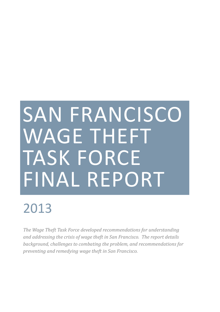# SAN FRANCISCO WAGE THEFT TASK FORCE FINAL REPORT

## 2013

*The Wage Theft Task Force developed recommendations for understanding and addressing the crisis of wage theft in San Francisco. The report details background, challenges to combating the problem, and recommendations for preventing and remedying wage theft in San Francisco.*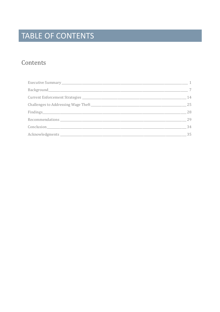### TABLE OF CONTENTS

### Contents

| $\overline{1}$ |
|----------------|
| 7              |
| 14             |
| 25             |
| 28             |
| 29             |
| 34             |
| 35             |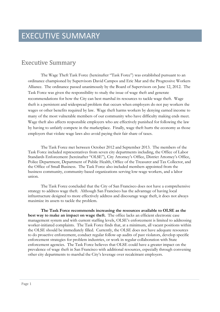### Executive Summary

The Wage Theft Task Force (hereinafter "Task Force") was established pursuant to an ordinance championed by Supervisors David Campos and Eric Mar and the Progressive Workers Alliance. The ordinance passed unanimously by the Board of Supervisors on June 12, 2012. The Task Force was given the responsibility to study the issue of wage theft and generate recommendations for how the City can best marshal its resources to tackle wage theft. Wage theft is a persistent and widespread problem that occurs when employers do not pay workers the wages or other benefits required by law. Wage theft harms workers by denying earned income to many of the most vulnerable members of our community who have difficulty making ends meet. Wage theft also affects responsible employers who are effectively punished for following the law by having to unfairly compete in the marketplace. Finally, wage theft hurts the economy as those employers that violate wage laws also avoid paying their fair share of taxes.

The Task Force met between October 2012 and September 2013. The members of the Task Force included representatives from seven city departments including, the Office of Labor Standards Enforcement (hereinafter "OLSE"), City Attorney's Office, District Attorney's Office, Police Department, Department of Public Health, Office of the Treasurer and Tax Collector, and the Office of Small Business. The Task Force also included members appointed from the business community, community-based organizations serving low-wage workers, and a labor union.

The Task Force concluded that the City of San Francisco does not have a comprehensive strategy to address wage theft. Although San Francisco has the advantage of having local infrastructure designed to more effectively address and discourage wage theft, it does not always maximize its assets to tackle the problem.

**The Task Force recommends increasing the resources available to OLSE as the best way to make an impact on wage theft.** The office lacks an efficient electronic case management system and with current staffing levels, OLSE's enforcement is limited to addressing worker-initiated complaints. The Task Force finds that, at a minimum, all vacant positions within the OLSE should be immediately filled. Currently, the OLSE does not have adequate resources to do proactive enforcement, conduct regular follow-up audits of past violators, develop specific enforcement strategies for problem industries, or work in regular collaboration with State enforcement agencies. The Task Force believes that OLSE could have a greater impact on the prevalence of wage theft in San Francisco with additional resources, especially through convening other city departments to marshal the City's leverage over recalcitrant employers.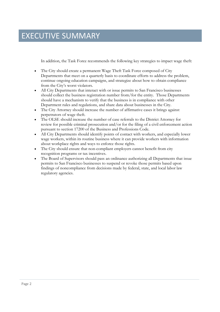### EXECUTIVE SUMMARY

In addition, the Task Force recommends the following key strategies to impact wage theft:

- The City should create a permanent Wage Theft Task Force composed of City Departments that meet on a quarterly basis to coordinate efforts to address the problem, continue ongoing education campaigns, and strategize about how to obtain compliance from the City's worst violators.
- All City Departments that interact with or issue permits to San Francisco businesses should collect the business registration number from/for the entity. Those Departments should have a mechanism to verify that the business is in compliance with other Department rules and regulations, and share data about businesses in the City.
- The City Attorney should increase the number of affirmative cases it brings against perpetrators of wage theft.
- The OLSE should increase the number of case referrals to the District Attorney for review for possible criminal prosecution and/or for the filing of a civil enforcement action pursuant to section 17200 of the Business and Professions Code.
- All City Departments should identify points of contact with workers, and especially lower wage workers, within its routine business where it can provide workers with information about workplace rights and ways to enforce those rights.
- The City should ensure that non-compliant employers cannot benefit from city recognition programs or tax incentives.
- The Board of Supervisors should pass an ordinance authorizing all Departments that issue permits to San Francisco businesses to suspend or revoke those permits based upon findings of noncompliance from decisions made by federal, state, and local labor law regulatory agencies.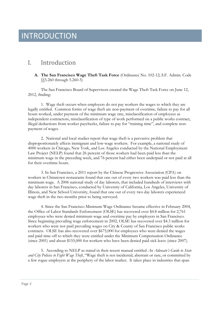### INTRODUCTION

### I. Introduction

**A. The San Francisco Wage Theft Task Force** (Ordinance No. 102-12; S.F. Admin. Code §§5.260 through 5.260-5)

The San Francisco Board of Supervisors created the Wage Theft Task Force on June 12, 2012, finding:

1. Wage theft occurs when employers do not pay workers the wages to which they are legally entitled. Common forms of wage theft are non-payment of overtime, failure to pay for all hours worked, under payment of the minimum wage rate, misclassification of employees as independent contractors, misclassification of type of work performed on a public works contract, illegal deductions from worker paychecks, failure to pay for "training time", and complete nonpayment of wages.

2. National and local studies report that wage theft is a pervasive problem that disproportionately affects immigrant and low-wage workers. For example, a national study of 4000 workers in Chicago, New York, and Los Angeles conducted by the National Employment Law Project (NELP) found that 26 percent of those workers had been paid less than the minimum wage in the preceding week, and 76 percent had either been underpaid or not paid at all for their overtime hours.

3. In San Francisco, a 2011 report by the Chinese Progressive Association (CPA) on workers in Chinatown restaurants found that one out of every two workers was paid less than the minimum wage. A 2006 national study of day laborers, that included hundreds of interviews with day laborers in San Francisco, conducted by University of California, Los Angeles, University of Illinois, and New School University, found that one out of every two day laborers experienced wage theft in the two months prior to being surveyed.

4. Since the San Francisco Minimum Wage Ordinance became effective in February 2004, the Office of Labor Standards Enforcement (OLSE) has recovered over \$4.8 million for 2,761 employees who were denied minimum wage and overtime pay by employers in San Francisco. Since beginning prevailing wage enforcement in 2002, OLSE has recovered over \$4.3 million for workers who were not paid prevailing wages on City & County of San Francisco public works contracts. OLSE has also recovered over \$675,000 for employees who were denied the wages and paid time off to which they were entitled under the Minimum Compensation Ordinance (since 2001) and about \$155,000 for workers who have been denied paid sick leave (since 2007).

5. According to NELP as stated in their recent manual entitled *An Advocate's Guide to State and City Policies to Fight Wage Theft*, "Wage theft is not incidental, aberrant or rare, or committed by a few rogue employers at the periphery of the labor market. It takes place in industries that span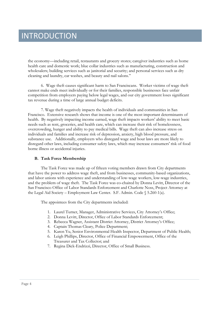the economy—including retail, restaurants and grocery stores; caregiver industries such as home health care and domestic work; blue collar industries such as manufacturing, construction and wholesalers; building services such as janitorial and security; and personal services such as dry cleaning and laundry, car washes, and beauty and nail salons."

6. Wage theft causes significant harm to San Franciscans. Worker victims of wage theft cannot make ends meet individually or for their families, responsible businesses face unfair competition from employers paying below legal wages, and our city government loses significant tax revenue during a time of large annual budget deficits.

7. Wage theft negatively impacts the health of individuals and communities in San Francisco. Extensive research shows that income is one of the most important determinants of health. By negatively impacting income earned, wage theft impacts workers' ability to meet basic needs such as rent, groceries, and health care, which can increase their risk of homelessness, overcrowding, hunger and ability to pay medical bills. Wage theft can also increase stress on individuals and families and increase risk of depression, anxiety, high blood pressure, and substance use. Additionally, employers who disregard wage and hour laws are more likely to disregard other laws, including consumer safety laws, which may increase consumers' risk of food borne illness or accidental injuries.

#### **B. Task Force Membership**

The Task Force was made up of fifteen voting members drawn from City departments that have the power to address wage theft, and from businesses, community-based organizations, and labor unions with experience and understanding of low-wage workers, low-wage industries, and the problem of wage theft. The Task Force was co-chaired by Donna Levitt, Director of the San Francisco Office of Labor Standards Enforcement and Charlotte Noss, Project Attorney at the Legal Aid Society – Employment Law Center. S.F. Admin. Code § 5.260-1(a).

The appointees from the City departments included:

- 1. Laurel Turner, Manager, Administrative Services, City Attorney's Office;
- 2. Donna Levitt, Director, Office of Labor Standards Enforcement;
- 3. Rebecca Wagner, Assistant District Attorney, District Attorney's Office;
- 4. Captain Thomas Cleary, Police Department;
- 5. Karen Yu, Senior Environmental Health Inspector, Department of Public Health;
- 6. Leigh Phillips, Director, Office of Financial Empowerment, Office of the Treasurer and Tax Collector; and
- 7. Regina Dick-Endrizzi, Director, Office of Small Business.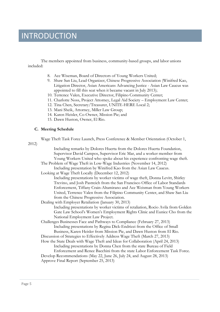### INTRODUCTION

The members appointed from business, community-based groups, and labor unions included:

- 8. Ace Wiseman, Board of Directors of Young Workers United;
- 9. Shaw San Liu, Lead Organizer, Chinese Progressive Association (Winifred Kao, Litigation Director, Asian Americans Advancing Justice - Asian Law Caucus was appointed to fill this seat when it became vacant in July 2013);
- 10. Terrence Valen, Executive Director, Filipino Community Center;
- 11. Charlotte Noss, Project Attorney, Legal Aid Society Employment Law Center;
- 12. Tina Chen, Secretary/Treasurer, UNITE-HERE Local 2;
- 13. Mani Sheik, Attorney, Miller Law Group;
- 14. Karen Heisler, Co-Owner, Mission Pie; and
- 15. Dawn Huston, Owner, El Rio.

#### **C. Meeting Schedule**

Wage Theft Task Force Launch, Press Conference & Member Orientation (October 1,

2012)

Including remarks by Dolores Huerta from the Dolores Huerta Foundation, Supervisor David Campos, Supervisor Eric Mar, and a worker member from Young Workers United who spoke about his experience confronting wage theft. The Problem of Wage Theft in Low-Wage Industries (November 14, 2012)

Including presentation by Winifred Kao from the Asian Law Caucus.

Looking at Wage Theft Locally (December 12, 2012)

Including presentations by worker victims of wage theft, Donna Levitt, Shirley Trevino, and Josh Pastreich from the San Francisco Office of Labor Standards Enforcement, Tiffany Crain-Altamirano and Ace Weisman from Young Workers United, Terrence Valen from the Filipino Community Center, and Shaw San Liu from the Chinese Progressive Association.

Dealing with Employer Retaliation (January 30, 2013) Including presentations by worker victims of retaliation, Rocio Avila from Golden Gate Law School's Women's Employment Rights Clinic and Eunice Cho from the National Employment Law Project.

Challenges Businesses Face and Pathways to Compliance (February 27, 2013) Including presentations by Regina Dick-Endrizzi from the Office of Small Business, Karen Heisler from Mission Pie, and Dawn Huston from El Rio.

Discussion of Strategies to Effectively Address Wage Theft (March 27, 2013)

How the State Deals with Wage Theft and Ideas for Collaboration (April 24, 2013) Including presentations by Donna Chen from the state Bureau of Field

Enforcement and Renee Bacchini from the state Labor Enforcement Task Force. Develop Recommendations (May 22, June 26, July 24, and August 28, 2013)

Approve Final Report (September 25, 2013)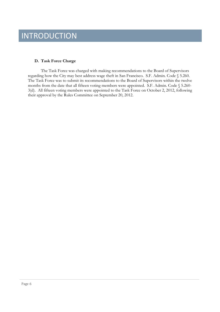### INTRODUCTION

#### **D. Task Force Charge**

The Task Force was charged with making recommendations to the Board of Supervisors regarding how the City may best address wage theft in San Francisco. S.F. Admin. Code § 5.260. The Task Force was to submit its recommendations to the Board of Supervisors within the twelve months from the date that all fifteen voting members were appointed. S.F. Admin. Code § 5.260- 3(d). All fifteen voting members were appointed to the Task Force on October 2, 2012, following their approval by the Rules Committee on September 20, 2012.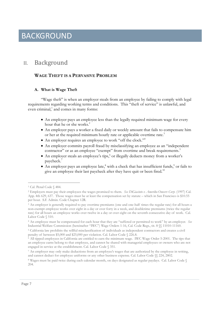### II. Background

#### **WAGE THEFT IS A PERVASIVE PROBLEM**

#### **A. What is Wage Theft**

"Wage theft" is when an employer steals from an employee by failing to comply with legal requirements regarding working terms and conditions. This "theft of service" is unlawful, and even criminal,<sup>1</sup> and comes in many forms:

- An employer pays an employee less than the legally required minimum wage for every hour that he or she works.<sup>2</sup>
- An employer pays a worker a fixed daily or weekly amount that fails to compensate him or her at the required minimum hourly rate or applicable overtime rate.<sup>3</sup>
- An employer requires an employee to work "off the clock."<sup>4</sup>
- An employer commits payroll fraud by misclassifying an employee as an "independent contractor" or as an employee "exempt" from overtime and break requirements.<sup>5</sup>
- An employer steals an employee's tips,<sup>6</sup> or illegally deducts money from a worker's paycheck.<sup>7</sup>
- $\bullet$  An employer pays an employee late, $^8$  with a check that has insufficient funds, $^9$  or fails to give an employee their last paycheck after they have quit or been fired.<sup>10</sup>

<sup>&</sup>lt;sup>1</sup> Cal. Penal Code § 484.

<sup>2</sup> Employers must pay their employees the wages promised to them. *See DiGiacinto v. Ameriko-Omserv Corp.* (1997) Cal. App. 4th 629, 637. Those wages must be at least the compensation set by statute – which in San Francisco is \$10.55 per hour. S.F. Admin. Code Chapter 12R.

<sup>3</sup> An employer is generally required to pay overtime premiums (one and one-half times the regular rate) for all hours a non-exempt employee works over eight in a day or over forty in a week, and doubletime premiums (twice the regular rate) for all hours an employee works over twelve in a day or over eight on the seventh consecutive day of work. Cal. Labor Code  $\S$  510.

<sup>4</sup> An employee must be compensated for each hour that they are "suffered or permitted to work" by an employer. *See* Industrial Welfare Commission (hereinafter "IWC") Wage Orders 1-16, Cal. Code Regs., tit. 8 §§ 11010-11160.

<sup>5</sup> California law prohibits the willful misclassification of individuals as independent contractors and creates a civil penalty of between \$5,000 and \$25,000 per violation. Cal. Labor Code § 226.8.

<sup>&</sup>lt;sup>6</sup> All tipped employees in California are entitled to earn the minimum wage. IWC Wage Order 5-2001. The tips that an employee earns belong to that employee, and cannot be shared with managerial employees or owners who are not engaged in service at the establishment. Cal. Labor Code § 351.

<sup>7</sup> An employer may only make deductions from an employee's wages that are authorized by the employee in writing, and cannot deduct for employee uniforms or any other business expense. Cal. Labor Code §§ 224, 2802.

<sup>8</sup> Wages must be paid twice during each calendar month, on days designated as regular paydays. Cal. Labor Code § 204.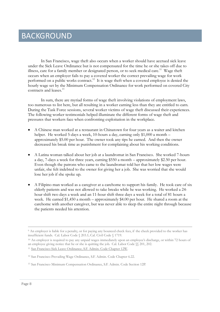In San Francisco, wage theft also occurs when a worker should have accrued sick leave under the Sick Leave Ordinance but is not compensated for the time he or she takes off due to illness, care for a family member or designated person, or to seek medical care.<sup>11</sup> Wage theft occurs when an employer fails to pay a covered worker the correct prevailing wage for work performed on a public works contract.<sup>12</sup> It is wage theft when a covered employee is denied the hourly wage set by the Minimum Compensation Ordinance for work performed on covered City contracts and leases.<sup>13</sup>

In sum, there are myriad forms of wage theft involving violations of employment laws, too numerous to list here, but all resulting in a worker earning less than they are entitled to earn. During the Task Force sessions, several worker victims of wage theft discussed their experiences. The following worker testimonials helped illuminate the different forms of wage theft and pressures that workers face when confronting exploitation in the workplace.

- A Chinese man worked at a restaurant in Chinatown for four years as a waiter and kitchen helper. He worked 5-days a week, 10-hours a day, earning only \$1,000 a month – approximately \$5.00 per hour. The owner took any tips he earned. And then the owner decreased his break time as punishment for complaining about his working conditions.
- A Latina woman talked about her job at a laundromat in San Francisco. She worked 7-hours a day, 7-days a week for three years, earning \$550 a month – approximately \$2.50 per hour. Even though the patrons who came to the laundromat told her that her low wages were unfair, she felt indebted to the owner for giving her a job. She was worried that she would lose her job if she spoke up.
- A Filipino man worked as a caregiver at a carehome to support his family. He took care of six elderly patients and was not allowed to take breaks while he was working. He worked a 24 hour shift two days a week and an 11-hour shift three days a week for a total of 81 hours a week. He earned \$1,450 a month – approximately \$4.00 per hour. He shared a room at the carehome with another caregiver, but was never able to sleep the entire night through because the patients needed his attention.

<sup>9</sup> An employer is liable for a penalty, or for paying any bounced check fees, if the check provided to the worker has insufficient funds. Cal. Labor Code § 203.1; Cal. Civil Code § 1719.

<sup>10</sup> An employer is required to pay any unpaid wages immediately upon an employee's discharge, or within 72 hours of an employee giving notice that he or she is quitting the job. Cal. Labor Code §§ 201, 202.

<sup>11</sup> San Francisco Sick Leave Ordinance, S.F. Admin. Code Chapter 12W.

<sup>12</sup> San Francisco Prevailing Wage Ordinance, S.F. Admin. Code Chapter 6.22.

<sup>13</sup> San Francisco Minimum Compensation Ordinance, S.F. Admin. Code Section 12P.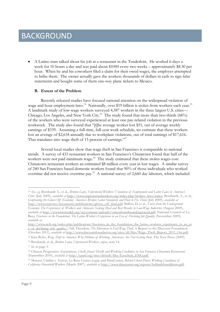A Latino man talked about his job at a restaurant in the Tenderloin. He worked 6-days a week for 10 hours a day and was paid about \$1000 every two weeks – approximately \$8.30 per hour. When he and his coworkers filed a claim for their owed wages, the employer attempted to bribe them. The owner actually gave the workers thousands of dollars in cash to sign false statements and bought some of them one-way plane tickets to Mexico.

#### **B. Extent of the Problem**

Recently released studies have focused national attention on the widespread violation of wage and hour employment laws.<sup>14</sup> Nationally, over \$19 billion is stolen from workers each year.<sup>15</sup> A landmark study of low-wage workers surveyed 4,387 workers in the three largest U.S. cities— Chicago, Los Angeles, and New York City.<sup>16</sup> The study found that more than two-thirds (68%) of the workers who were surveyed experienced at least one pay-related violation in the previous workweek. The study also found that "[t]he average worker lost \$51, out of average weekly earnings of \$339. Assuming a full-time, full-year work schedule, we estimate that these workers lost an average of \$2,634 annually due to workplace violations, out of total earnings of \$17,616. That translates into wage theft of 15 percent of earnings."<sup>17</sup>

Several local studies show that wage theft in San Francisco is comparable to national trends. A survey of 433 restaurant workers in San Francisco's Chinatown found that half of the workers were not paid minimum wage.<sup>18</sup> The study estimated that these stolen wages cost Chinatown restaurant workers an estimated \$8 million every year in lost wages. A similar survey of 240 San Francisco based domestic workers found that 90% of those individuals who worked overtime did not receive overtime pay.<sup>19</sup> A national survey of 2,660 day laborers, which included

<sup>14</sup> *See, e.g.* Bernhardt A., et al., *Broken Laws, Unprotected Workers: Violations of Employment and Labor Laws in America's Cities* (July 2009), *available at* http://www.unprotectedworkers.org/index.php/broken\_laws/index; Bernhardt, A., et al., *Confronting the Gloves-Off Economy: America's Broken Labor Standards and How to Fix Them* (July 2009), *available at* http://www.cepr.net/documents/publications/gloves\_off\_final.pdf; Ballon, D. et al., *Voices from the Underground Economy: The Experiences of Workers and Advocates Seeking Meal and Rest Breaks in Low-Wage Industries* (August 2009), *available at* http://www.bettzedek.org/wp-content/uploads/voicesfromtheunderground.pdf; National Council of La Raza, *Fractures in the Foundation: The Latino Worker's Experience in an Era of Declining Job Quality* (November 2009), *available at*

http://www.nclr.org/index.php/publications/fractures\_in\_the\_foundation\_the\_latino\_workers\_experience\_in\_an\_er a\_of\_declining\_job\_quality/; Nik Theodore, *The Movement to End Wage Theft*, A Report to the Discount Foundation (October 2011), *available at* http://www.discountfoundation.org/sites/all/files/Wage\_Theft\_Report\_2011\_Oct.pdf.

<sup>15</sup> Kim Bobo, *Wage Theft in America: Why Millions of Working Americans Are Not Getting Paid*, The New Press (2009).

<sup>16</sup> Bernhardt, et al., *Broken Laws, Unprotected Workers*, *supra*, note 14.

<sup>17</sup> *Id*. at page 5.

<sup>18</sup> Chinese Progressive Association, *Check, please! Health and Working Conditions in San Francisco Chinatown Restaurants* (September 2010), *available at* http://cpasf.org/sites/default/files/ExecSum\_ENG.pdf.

<sup>19</sup> Mujures Unidias y Activas, La Raza Centro Legal, and DataCenter, *Behind Closed Doors: Working Conditions of California Household Workers* (March 2007), *available at* http://www.datacenter.org/reports/behindcloseddoors.pdf.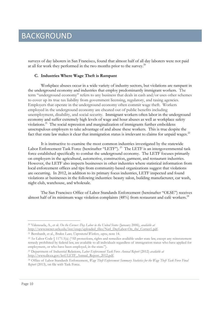surveys of day laborers in San Francisco, found that almost half of all day laborers were not paid at all for work they performed in the two months prior to the survey.<sup>20</sup>

#### **C. Industries Where Wage Theft is Rampant**

Workplace abuses occur in a wide variety of industry sectors, but violations are rampant in the underground economy and industries that employ predominantly immigrant workers. The term "underground economy" refers to any business that deals in cash and/or uses other schemes to cover up its true tax liability from government licensing, regulatory, and taxing agencies. Employers that operate in the underground economy often commit wage theft. Workers employed in the underground economy are cheated out of public benefits including unemployment, disability, and social security. Immigrant workers often labor in the underground economy and suffer extremely high levels of wage and hour abuses as well as workplace safety violations.<sup>21</sup> The social repression and marginalization of immigrants further emboldens unscrupulous employers to take advantage of and abuse these workers. This is true despite the fact that state law makes it clear that immigration status is irrelevant to claims for unpaid wages.<sup>22</sup>

It is instructive to examine the most common industries investigated by the statewide Labor Enforcement Task Force (hereinafter "LETF").<sup>23</sup> The LETF is an intergovernmental task force established specifically to combat the underground economy. The LETF focuses primarily on employers in the agricultural, automotive, construction, garment, and restaurant industries. However, the LETF also inspects businesses in other industries where statistical information from local enforcement offices and tips from community-based organizations suggest that violations are occurring. In 2012, in addition to its primary focus industries, LETF inspected and found violations at businesses in the following industries: beauty salon, building manufacturer, car wash, night club, warehouse, and wholesale.

The San Francisco Office of Labor Standards Enforcement (hereinafter "OLSE") receives almost half of its minimum wage violation complaints  $(48%)$  from restaurant and café workers.<sup>24</sup>

<sup>20</sup> Valenzuela, A., et al. *On the Corner: Day Labor in the United States* (January 2006), *available at* http://www.sscnet.ucla.edu/issr/csup/uploaded\_files/Natl\_DayLabor-On\_the\_Corner1.pdf.

<sup>21</sup> Bernhardt, et al., *Broken Laws, Unprotected Workers*, *supra*, note 14.

<sup>22</sup> *See* Labor Code § 1171.5(a) ("All protections, rights and remedies available under state law, except any reinstatement remedy prohibited by federal law, are available to all individuals regardless of immigration status who have applied for employment, or who have been employed, in the state.").

<sup>23</sup> Department of Industrial Relations, *Labor Enforcement Task Force Annual Report* (2012) *available at* http://www.dir.ca.gov/letf/LETF\_Annual\_Report\_2012.pdf.

<sup>24</sup> Office of Labor Standards Enforcement, *Wage Theft Enforcement Summary Statistics for the Wage Theft Task Force Final Report* (2013), on file with Task Force.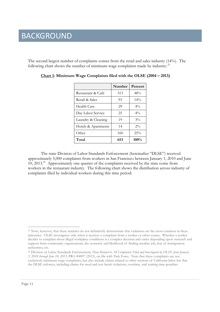The second largest number of complaints comes from the retail and sales industry (14%). The following chart shows the number of minimum wage complaints made by industry: <sup>25</sup>

|                     | Number | Percent        |
|---------------------|--------|----------------|
| Restaurant & Café   | 313    | 48%            |
| Retail & Sales      | 93     | $14\%$         |
| Health Care         | 29     | $4\frac{0}{0}$ |
| Day Labor Service   | 25     | $4\%$          |
| Laundry & Cleaning  | 19     | $3\%$          |
| Hotels & Apartments | 14     | $2\%$          |
| Other               | 160    | 25%            |
| Total               | 653    | 100%           |

**Chart 1: Minimum Wage Complaints filed with the OLSE (2004 – 2013)**

The state Division of Labor Standards Enforcement (hereinafter "DLSE") received approximately 5,000 complaints from workers in San Francisco between January 1, 2010 and June 10, 2013.<sup>26</sup> Approximately one quarter of the complaints received by the state come from workers in the restaurant industry. The following chart shows the distribution across industry of complaints filed by individual workers during this time period:

<sup>&</sup>lt;sup>25</sup> Note, however, that these statistics do not definitively demonstrate that violations are the most common in these industries. OLSE investigates only when it receives a complaint from a worker or other source. Whether a worker decides to complain about illegal workplace conditions is a complex decision and varies depending upon outreach and support from community organizations, the economy and likelihood of finding another job, fear of immigration authorities, etc.

<sup>26</sup> Division of Labor Standards Enforcement, *Data Related to All Complaints Filed and Investigated by DLSE from January 1, 2010 through June 10, 2013*, PRA #4897 (2013), on file with Task Force. Note that these complaints are not exclusively minimum wage complaints, but also include claims related to other sections of California labor law that the DLSE enforces, including claims for meal and rest break violations, overtime, and waiting time penalties.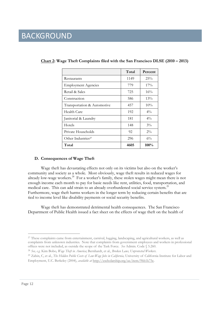|                                | Total | Percent |
|--------------------------------|-------|---------|
| Restaurants                    | 1149  | 25%     |
| <b>Employment Agencies</b>     | 779   | $17\%$  |
| Retail & Sales                 | 725   | $16\%$  |
| Construction                   | 586   | $13\%$  |
| Transportation & Automotive    | 457   | $10\%$  |
| Health Care                    | 192   | $4\%$   |
| Janitorial & Laundry           | 181   | $4\%$   |
| Hotels                         | 148   | $3\%$   |
| Private Households             | 92    | $2\%$   |
| Other Industries <sup>27</sup> | 296   | $6\%$   |
| Total                          | 4605  | 100%    |

**Chart 2: Wage Theft Complaints filed with the San Francisco DLSE (2010 – 2013)**

#### **D. Consequences of Wage Theft**

Wage theft has devastating effects not only on its victims but also on the worker's community and society as a whole. Most obviously, wage theft results in reduced wages for already low-wage workers.<sup>28</sup> For a worker's family, these stolen wages might mean there is not enough income each month to pay for basic needs like rent, utilities, food, transportation, and medical care. This can add strain to an already overburdened social service system.<sup>29</sup> Furthermore, wage theft harms workers in the longer term by reducing certain benefits that are tied to income level like disability payments or social security benefits.

Wage theft has demonstrated detrimental health consequences. The San Francisco Department of Public Health issued a fact sheet on the effects of wage theft on the health of

<sup>27</sup> These complaints came from entertainment, carnival, logging, landscaping, and agricultural workers, as well as complaints from unknown industries. Note that complaints from government employees and workers in professional offices were not included, as outside the scope of the Task Force. *See* Admin. Code § 5.260.

- <sup>28</sup> *See, e.g.* Kim Bobo, *Wage Theft in America*; Bernhardt, et al., *Broken Laws, Unprotected Workers*.
- <sup>29</sup> Zabin, C, et al., *The Hidden Public Costs of Low-Wage Jobs in California,* University of California Institute for Labor and Employment, U.C. Berkeley (2004), *available at* http://escholarship.org/uc/item/9hb1k75c.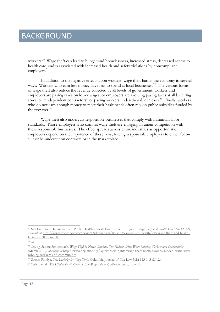workers.<sup>30</sup> Wage theft can lead to hunger and homelessness, increased stress, decreased access to health care, and is associated with increased health and safety violations by noncompliant employers.<sup>31</sup>

In addition to the negative effects upon workers, wage theft harms the economy in several ways. Workers who earn less money have less to spend at local businesses.<sup>32</sup> The various forms of wage theft also reduce the revenue collected by all levels of government: workers and employers are paying taxes on lower wages, or employers are avoiding paying taxes at all by hiring so-called "independent contractors" or paying workers under-the-table in cash.<sup>33</sup> Finally, workers who do not earn enough money to meet their basic needs often rely on public subsidies funded by the taxpayer.<sup>34</sup>

Wage theft also undercuts responsible businesses that comply with minimum labor standards. Those employers who commit wage theft are engaging in unfair competition with these responsible businesses. The effect spreads across entire industries as opportunistic employers depend on the impotence of these laws, forcing responsible employers to either follow suit or be undercut on contracts or in the marketplace.

<sup>30</sup> San Francisco Department of Public Health – Work Environment Program, *Wage Theft and Health Fact Sheet* (2012), *available at* http://www.sfphes.org/component/jdownloads/finish/35-wages-and-health/215-wage-theft-and-healthfact-sheet/0?Itemid=0.

<sup>31</sup> *Id*.

<sup>32</sup> *See, e.g.* Sabine Schoenbach, *Wage Theft in North Carolina: The Hidden Crime Wave Robbing Workers and Communities* (March 2013), *available at* http://www.ncjustice.org/?q=workers-rights/wage-theft-north-carolina-hidden-crime-waverobbing-workers-and-communities.

<sup>33</sup> Sachin Pandya, *Tax Liability for Wage Theft*, Columbia Journal of Tax Law 3(2): 113-143 (2012).

<sup>34</sup> Zabin, et al., *The Hidden Public Costs of Low-Wage Jobs in California, supra,* note 29.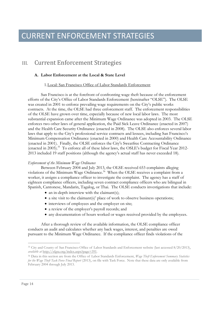### CURRENT ENFORCEMENT STRATEGIES

### III. Current Enforcement Strategies

#### **A. Labor Enforcement at the Local & State Level**

#### 1.Local: San Francisco Office of Labor Standards Enforcement

San Francisco is at the forefront of confronting wage theft because of the enforcement efforts of the City's Office of Labor Standards Enforcement (hereinafter "OLSE"). The OLSE was created in 2001 to enforce prevailing wage requirements on the City's public works contracts. At the time, the OLSE had three enforcement staff. The enforcement responsibilities of the OLSE have grown over time, especially because of new local labor laws. The most substantial expansion came after the Minimum Wage Ordinance was adopted in 2003. The OLSE enforces two other laws of general application, the Paid Sick Leave Ordinance (enacted in 2007) and the Health Care Security Ordinance (enacted in 2008). The OLSE also enforces several labor laws that apply to the City's professional service contracts and lessees, including San Francisco's Minimum Compensation Ordinance (enacted in 2000) and Health Care Accountability Ordinance (enacted in 2001). Finally, the OLSE enforces the City's Sweatfree Contracting Ordinance (enacted in 2005).<sup>35</sup> To enforce all of these labor laws, the OSLE's budget for Fiscal Year 2012- 2013 included 19 staff positions (although the agency's actual staff has never exceeded 18).

#### *Enforcement of the Minimum Wage Ordinance*

Between February 2004 and July 2013, the OLSE received 653 complaints alleging violations of the Minimum Wage Ordinance.<sup>36</sup> When the OLSE receives a complaint from a worker, it assigns a compliance officer to investigate the complaint. The agency has a staff of eighteen compliance officers, including seven contract compliance officers who are bilingual in Spanish, Cantonese, Mandarin, Tagalog, or Thai. The OLSE conducts investigations that include:

- an in-depth interview with the claimant(s);
- a site visit to the claimant(s)' place of work to observe business operations;
- interviews of employees and the employer on site;
- a review of the employer's payroll records; and
- any documentation of hours worked or wages received provided by the employees.

After a thorough review of the available information, the OLSE compliance officer conducts an audit and calculates whether any back wages, interest, and penalties are owed pursuant to the Minimum Wage Ordinance. If the compliance officer finds violations of the

<sup>35</sup> City and County of San Francisco Office of Labor Standards and Enforcement website (last accessed 8/20/2013), *available at* http://sfgsa.org/index.aspx?page=391.

<sup>36</sup> Data in this section are from the Office of Labor Standards Enforcement, *Wage Theft Enforcement Summary Statistics for the Wage Theft Task Force Final Report* (2013), on file with Task Force. Note that these data are only available from February 2004 through July 2013.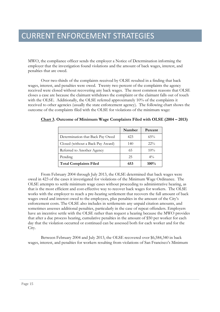MWO, the compliance officer sends the employer a Notice of Determination informing the employer that the investigation found violations and the amount of back wages, interest, and penalties that are owed.

Over two-thirds of the complaints received by OLSE resulted in a finding that back wages, interest, and penalties were owed. Twenty two percent of the complaints the agency received were closed without recovering any back wages. The most common reasons that OLSE closes a case are because the claimant withdraws the complaint or the claimant falls out of touch with the OLSE. Additionally, the OLSE referred approximately 10% of the complaints it received to other agencies (usually the state enforcement agency). The following chart shows the outcome of the complaints filed with the OLSE for violations of the minimum wage:

|                                   | Number | Percent |
|-----------------------------------|--------|---------|
| Determination that Back Pay Owed  | 423    | $65\%$  |
| Closed (without a Back Pay Award) | 140    | $22\%$  |
| Referred to Another Agency        | 65     | 10%     |
| Pending                           | 25     | $4\%$   |
| <b>Total Complaints Filed</b>     | 653    | $100\%$ |

**Chart 3. Outcome of Minimum Wage Complaints Filed with OLSE (2004 – 2013)**

From February 2004 through July 2013, the OLSE determined that back wages were owed in 423 of the cases it investigated for violations of the Minimum Wage Ordinance. The OLSE attempts to settle minimum wage cases without proceeding to administrative hearing, as that is the most efficient and cost-effective way to recover back wages for workers. The OLSE works with the employer to reach a pre-hearing settlement that recovers the full amount of back wages owed and interest owed to the employees, plus penalties in the amount of the City's enforcement costs. The OLSE also includes in settlements any unpaid citation amounts, and sometimes assesses additional penalties, particularly in the case of repeat offenders. Employers have an incentive settle with the OLSE rather than request a hearing because the MWO provides that after a due process hearing, cumulative penalties in the amount of \$50 per worker for each day that the violation occurred or continued can be assessed both for each worker and for the City.

Between February 2004 and July 2013, the OLSE recovered over \$6,584,340 in back wages, interest, and penalties for workers resulting from violations of San Francisco's Minimum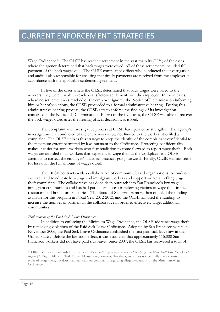Wage Ordinance.<sup>37</sup> The OLSE has reached settlement in the vast majority (99%) of the cases where the agency determined that back wages were owed. All of these settlements included full payment of the back wages due. The OLSE compliance officer who conducted the investigation and audit is also responsible for ensuring that timely payments are received from the employer in accordance with the applicable settlement agreement.

In five of the cases where the OLSE determined that back wages were owed to the workers, they were unable to reach a satisfactory settlement with the employer. In those cases, where no settlement was reached or the employer ignored the Notice of Determination informing him or her of violations, the OLSE proceeded to a formal administrative hearing. During this administrative hearing process, the OLSE acts to enforce the findings of its investigation contained in the Notice of Determination. In two of the five cases, the OLSE was able to recover the back wages owed after the hearing officer decision was issued.

The complaint and investigative process at OLSE have particular strengths. The agency's investigations are conducted of the entire workforce, not limited to the worker who filed a complaint. The OLSE utilizes this strategy to keep the identity of the complainant confidential to the maximum extent permitted by law, pursuant to the Ordinance. Protecting confidentiality makes it easier for some workers who fear retaliation to come forward to report wage theft. Back wages are awarded to all workers that experienced wage theft at the workplace, and OLSE attempts to correct the employer's business practices going forward. Finally, OLSE will not settle for less than the full amount of wages owed.

The OLSE contracts with a collaborative of community based organizations to conduct outreach and to educate low-wage and immigrant workers and support workers in filing wage theft complaints. The collaborative has done deep outreach into San Francisco's low wage immigrant communities and has had particular success in referring victims of wage theft in the restaurant and home care industries. The Board of Supervisors more than doubled the funding available for this program in Fiscal Year 2012-2013, and the OLSE has used the funding to increase the number of partners in the collaborative in order to effectively target additional communities.

#### *Enforcement of the Paid Sick Leave Ordinance*

In addition to enforcing the Minimum Wage Ordinance, the OLSE addresses wage theft by remedying violations of the Paid Sick Leave Ordinance. Adopted by San Francisco voters in November 2006, the Paid Sick Leave Ordinance established the first paid sick leave law in the United States. Before the law took effect, it was estimated that approximately 115,000 San Francisco workers did not have paid sick leave. Since 2007, the OLSE has recovered a total of

<sup>37</sup> Office of Labor Standards Enforcement, *Wage Theft Enforcement Summary Statistics for the Wage Theft Task Force Final Report* (2013), on file with Task Force. Please note, however, that the agency does not centrally track statistics on all types of wage theft, but does maintain data on complaints regarding alleged violations of the Minimum Wage Ordinance.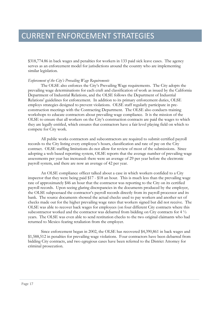\$318,774.86 in back wages and penalties for workers in 133 paid sick leave cases. The agency serves as an enforcement model for jurisdictions around the country who are implementing similar legislation.

#### *Enforcement of the City's Prevailing Wage Requirements*

The OLSE also enforces the City's Prevailing Wage requirements. The City adopts the prevailing wage determinations for each craft and classification of work as issued by the California Department of Industrial Relations, and the OLSE follows the Department of Industrial Relations' guidelines for enforcement. In addition to its primary enforcement duties, OLSE employs strategies designed to prevent violations. OLSE staff regularly participate in preconstruction meetings with the Contracting Department. The OLSE also conducts training workshops to educate contractors about prevailing wage compliance. It is the mission of the OLSE to ensure that all workers on the City's construction contracts are paid the wages to which they are legally entitled, which ensures that contractors have a fair level playing field on which to compete for City work.

All public works contractors and subcontractors are required to submit certified payroll records to the City listing every employee's hours, classification and rate of pay on the City contract. OLSE staffing limitations do not allow for review of most of the submissions. Since adopting a web based reporting system, OLSE reports that the average number of prevailing wage assessments per year has increased: there were an average of 29 per year before the electronic payroll system, and there are now an average of 42 per year.

An OLSE compliance officer talked about a case in which workers confided to a City inspector that they were being paid \$17 - \$18 an hour. This is much less than the prevailing wage rate of approximately \$46 an hour that the contractor was reporting to the City on its certified payroll records. Upon seeing glaring discrepancies in the documents produced by the employer, the OLSE subpoenaed the contractor's payroll records directly from its payroll processor and its bank. The source documents showed the actual checks used to pay workers and another set of checks made out for the higher prevailing wage rates that workers signed but did not receive. The OLSE was able to recover back wages for employees (on four different City contracts where this subcontractor worked and the contractor was debarred from bidding on City contracts for  $4\frac{1}{2}$ years. The OLSE was even able to send restitution checks to the two original claimants who had returned to Mexico fearing retaliation from the employer.

Since enforcement began in 2002, the OLSE has recovered \$4,390,861 in back wages and \$1,588,512 in penalties for prevailing wage violations. Four contractors have been debarred from bidding City contracts, and two egregious cases have been referred to the District Attorney for criminal prosecution.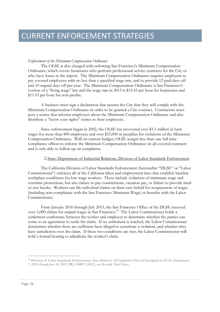#### *Enforcement of the Minimum Compensation Ordinance*

The OLSE is also charged with enforcing San Francisco's Minimum Compensation Ordinance, which covers businesses who perform professional service contracts for the City or who have leases at the airport. The Minimum Compensation Ordinance requires employers to pay covered employees with no less than a specified wage rate, and to provide 12 paid days off and 10 unpaid days off per year. The Minimum Compensation Ordinance is San Francisco's version of a "living wage" law and the wage rate in 2013 is \$12.43 per hour for businesses and \$11.03 per hour for non-profits.

A business must sign a declaration that assures the City that they will comply with the Minimum Compensation Ordinance in order to be granted a City contract. Contractors must post a notice that informs employees about the Minimum Compensation Ordinance and also distribute a "know your rights" notice to their employees.

Since enforcement began in 2002, the OLSE has recovered over \$1.1 million in back wages for more than 800 employees and over \$55,000 in penalties for violations of the Minimum Compensation Ordinance. With its current budget, OLSE assigns less than one full-time compliance officer to enforce the Minimum Compensation Ordinance on all covered contracts and is only able to follow up on complaints.

#### 2.State: Department of Industrial Relations, Division of Labor Standards Enforcement

The California Division of Labor Standards Enforcement (hereinafter "DLSE" or "Labor Commissioner") enforces all of the California labor and employment laws that establish baseline workplace conditions for low-wage workers. These include violations of minimum wage and overtime protections, but also failure to pay commissions, vacation pay, or failure to provide meal or rest breaks. Workers can file individual claims on their own behalf for nonpayment of wages (including non-compliance with the San Francisco Minimum Wage) or benefits with the Labor Commissioner.

From January 2010 through July 2013, the San Francisco Office of the DLSE received over 5,000 claims for unpaid wages in San Francisco.<sup>38</sup> The Labor Commissioner holds a settlement conference between the worker and employer to determine whether the parties can come to an agreement to settle the claim. If no settlement is reached, the Labor Commissioner determines whether there are sufficient facts alleged to constitute a violation, and whether they have jurisdiction over the claim. If these two conditions are met, the Labor Commissioner will hold a formal hearing to adjudicate the worker's claim.

<sup>38</sup> Division of Labor Standards Enforcement, *Data Related to All Complaints Filed and Investigated by DLSE from January*

*<sup>1, 2010</sup> through June 10, 2013*, PRA #4897 (2013), on file with Task Force.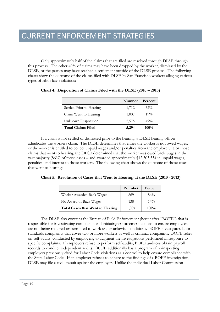Only approximately half of the claims that are filed are resolved through DLSE through this process. The other 49% of claims may have been dropped by the worker, dismissed by the DLSE, or the parties may have reached a settlement outside of the DLSE process. The following charts show the outcome of the claims filed with DLSE by San Francisco workers alleging various types of labor law violations:

|                           | Number | Percent |
|---------------------------|--------|---------|
| Settled Prior to Hearing  | 1,712  | $32\%$  |
| Claim Went to Hearing     | 1,007  | 19%     |
| Unknown Disposition       | 2,575  | 49%     |
| <b>Total Claims Filed</b> | 5,294  | $100\%$ |

**Chart 4. Disposition of Claims Filed with the DLSE (2010 – 2013)**

If a claim is not settled or dismissed prior to the hearing, a DLSE hearing officer adjudicates the workers claim. The DLSE determines that either the worker is not owed wages, or the worker is entitled to collect unpaid wages and/or penalties from the employer. For those claims that went to hearing, the DLSE determined that the worker was owed back wages in the vast majority (86%) of those cases – and awarded approximately \$12,303,534 in unpaid wages, penalties, and interest to those workers. The following chart shows the outcome of those cases that went to hearing:

**Chart 5. Resolution of Cases that Went to Hearing at the DLSE (2010 - 2013)**

|                                         | Number | Percent |
|-----------------------------------------|--------|---------|
| Worker Awarded Back Wages               | 869    | 86%     |
| No Award of Back Wages                  | 138    | $14\%$  |
| <b>Total Cases that Went to Hearing</b> | 1,007  | $100\%$ |

The DLSE also contains the Bureau of Field Enforcement (hereinafter "BOFE") that is responsible for investigating complaints and initiating enforcement actions to ensure employees are not being required or permitted to work under unlawful conditions. BOFE investigates labor standards complaints that cover two or more workers as well as criminal complaints. BOFE relies on self-audits, conducted by employers, to augment the investigations performed in response to specific complaints. If employers refuse to perform self-audits, BOFE auditors obtain payroll records to conduct independent audits. BOFE additionally has a program of re-inspecting employers previously cited for Labor Code violations as a control to help ensure compliance with the State Labor Code. If an employer refuses to adhere to the findings of a BOFE investigation, DLSE may file a civil lawsuit against the employer. Unlike the individual Labor Commission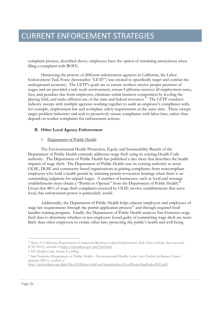complaint process, described above, employees have the option of remaining anonymous when filing a complaint with BOFE.

Harnessing the powers of different enforcement agencies in California, the Labor Enforcement Task Force (hereinafter "LETF") was created to specifically target and combat the underground economy. The LETF's goals are to ensure workers receive proper payment of wages and are provided a safe work environment, ensure California receives all employment taxes, fees, and penalties due from employers, eliminate unfair business competition by leveling the playing field, and make efficient use of the state and federal resources.<sup>39</sup> The LETF conducts industry sweeps with multiple agencies working together to audit an employer's compliance with, for example, employment law and workplace safety requirements at the same time. These sweeps target problem industries and seek to proactively ensure compliance with labor laws, rather than depend on worker complaints for enforcement actions.

#### **B. Other Local Agency Enforcement**

#### 1. Department of Public Health

The Environmental Health Protection, Equity and Sustainability Branch of the Department of Public Health currently addresses wage theft using its existing Health Code authority. The Department of Public Health has published a fact sheet that describes the health impacts of wage theft. The Department of Public Health uses its existing authority to assist OLSE, DLSE and community-based organizations in gaining compliance from noncompliant employers who hold a health permit by initiating permit revocation hearings when there is an outstanding judgment for unpaid wages. A number of businesses, such as food and massage establishments must obtain a "Permit to Operate" from the Department of Public Health.<sup>40</sup> Given that 48% of wage theft complaints received by OLSE involve establishments that serve food, this enforcement power is particularly useful.

Additionally, the Department of Public Health helps educate employers and employees of wage law requirements through the permit application process<sup>41</sup> and through required food handler training program. Finally, the Department of Public Health analyzes San Francisco wage theft data to determine whether or not employers found guilty of committing wage theft are more likely than other employers to violate other laws protecting the public's health and well-being.

<sup>39</sup> State of California, Department of Industrial Relations, Labor Enforcement Task Force website (last accessed 8/20/2013), *available at* http://www.dir.ca.gov/letf/letf.html.

<sup>40</sup> S.F. Health Code Article 8 § 440(j).

<sup>41</sup> San Francisco Department of Public Health – Environmental Health, *Labor Law Checklist for Business Owners* (January 2010 ), *available at*

http://www.sfdph.org/dph/files/EHSdocs/ehsFood/permitsdocs/FoodPermitAppPacket2012.pdf.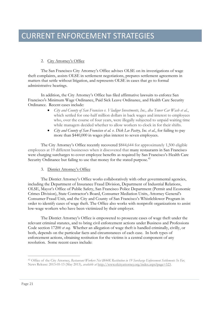### CURRENT ENFORCEMENT STRATEGIES

#### 2. City Attorney's Office

The San Francisco City Attorney's Office advises OLSE on its investigations of wage theft complaints, assists OLSE in settlement negotiations, prepares settlement agreements in matters that settle without litigation, and represents OLSE in cases that go to formal administrative hearings.

In addition, the City Attorney's Office has filed affirmative lawsuits to enforce San Francisco's Minimum Wage Ordinance, Paid Sick Leave Ordinance, and Health Care Security Ordinance. Recent cases include:

- *City and County of San Francisco v. Vladigor Investments, Inc., dba Tower Car Wash et al.*, which settled for one-half million dollars in back wages and interest to employees who, over the course of four years, were illegally subjected to unpaid waiting time while managers decided whether to allow workers to clock in for their shifts.
- *City and County of San Francisco et al. v. Dick Lee Pastry, Inc. et al.*, for failing to pay more than \$440,000 in wages plus interest to seven employees.

The City Attorney's Office recently recovered \$844,644 for approximately 1,500 eligible employees at 19 different businesses when it discovered that many restaurants in San Francisco were charging surcharges to cover employee benefits as required by San Francisco's Health Care Security Ordinance but failing to use that money for the stated purpose.<sup>42</sup>

#### 3. District Attorney's Office

The District Attorney's Office works collaboratively with other governmental agencies, including the Department of Insurance Fraud Division, Department of Industrial Relations, OLSE, Mayor's Office of Public Safety, San Francisco Police Department (Permit and Economic Crimes Division), State Contractor's Board, Consumer Mediation Units, Attorney General's Consumer Fraud Unit, and the City and County of San Francisco's Whistleblower Program in order to identify cases of wage theft. The Office also works with nonprofit organizations to assist low-wage workers who have been victimized by their employer.

The District Attorney's Office is empowered to prosecute cases of wage theft under the relevant criminal statutes, and to bring civil enforcement actions under Business and Professions Code section 17200 *et seq.* Whether an allegation of wage theft is handled criminally, civilly, or both, depends on the particular facts and circumstances of each case. In both types of enforcement actions, obtaining restitution for the victims is a central component of any resolution. Some recent cases include:

<sup>42</sup> Office of the City Attorney, *Restaurant Workers Net \$844K Restitution in 19 Surcharge Enforcement Settlements So Far,* News Release: 2013-05-13 (May 2013), *available at* http://www.sfcityattorney.org/index.aspx?page=523.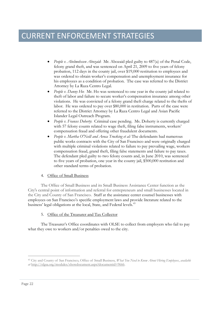### CURRENT ENFORCEMENT STRATEGIES

- *People v. Abelmohssen Abozaid*: Mr. Abozaid pled guilty to 487(a) of the Penal Code, felony grand theft, and was sentenced on April 21, 2009 to five years of felony probation, 112 days in the county jail, over \$19,000 restitution to employees and was ordered to obtain worker's compensation and unemployment insurance for his employees as a condition of probation. The case was referred to the District Attorney by La Raza Centro Legal.
- *People v. Danny Ho*: Mr. Ho was sentenced to one year in the county jail related to theft of labor and failure to secure worker's compensation insurance among other violations. He was convicted of a felony grand theft charge related to the thefts of labor. He was ordered to pay over \$80,000 in restitution. Parts of the case were referred to the District Attorney by La Raza Centro Legal and Asian Pacific Islander Legal Outreach Program.
- *People v. Frances Doherty*: Criminal case pending. Ms. Doherty is currently charged with 57 felony counts related to wage theft, filing false instruments, workers' compensation fraud and offering other fraudulent documents.
- *People v. Martha O'Neill and Avoca Trucking et al:* The defendants had numerous public works contracts with the City of San Francisco and were originally charged with multiple criminal violations related to failure to pay prevailing wage, workers compensation fraud, grand theft, filing false statements and failure to pay taxes. The defendant pled guilty to two felony counts and, in June 2010, was sentenced to five years of probation, one year in the county jail, \$500,000 restitution and other standard terms of probation.

#### 4. Office of Small Business

The Office of Small Business and its Small Business Assistance Center function as the City's central point of information and referral for entrepreneurs and small businesses located in the City and County of San Francisco. Staff at the assistance center counsel businesses with employees on San Francisco's specific employment laws and provide literature related to the business' legal obligations at the local, State, and Federal levels.<sup>43</sup>

#### 5. Office of the Treasurer and Tax Collector

The Treasurer's Office coordinates with OLSE to collect from employers who fail to pay what they owe to workers and/or penalties owed to the city.

<sup>43</sup> City and County of San Francisco, Office of Small Business, *What You Need to Know About Hiring Employees*, *available at* http://sfgsa.org/modules/showdocument.aspx?documentid=9666.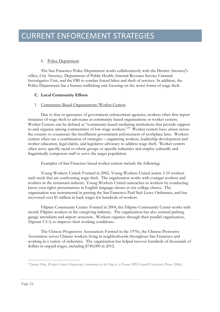#### 6. Police Department

The San Francisco Police Department works collaboratively with the District Attorney's office, City Attorney, Department of Public Health, Internal Revenue Service Criminal Investigative Unit, and the FBI to combat forced labor and theft of services. In addition, the Police Department has a human trafficking unit focusing on the worst forms of wage theft.

#### **C. Local Community Efforts**

#### 1. Community-Based Organizations/Worker Centers

Due to fear or ignorance of government enforcement agencies, workers often first report instances of wage theft to advocates at community based organizations or worker centers. Worker Centers can be defined as "community-based mediating institutions that provide support to and organize among communities of low-wage workers."<sup>44</sup> Worker centers have arisen across the country to counteract the insufficient government enforcement of workplace laws. Workers centers often use a combination of strategies – organizing workers, leadership development and worker education, legal claims, and legislative advocacy to address wage theft. Worker centers often serve specific racial or ethnic groups or specific industries and employ culturally and linguistically competent staff to serve the target population.

Examples of San Francisco based worker centers include the following:

Young Workers United: Formed in 2002, Young Workers United assists 5-10 workers each week that are confronting wage theft. The organization works with younger workers and workers in the restaurant industry. Young Workers United outreaches to workers by conducting know your rights presentations in English language classes at city college classes. The organization was instrumental in passing the San Francisco Paid Sick Leave Ordinance, and has recovered over \$1 million in back wages for hundreds of workers.

Filipino Community Center: Formed in 2004, the Filipino Community Center works with mostly Filipino workers in the caregiving industry. The organization has also assisted parking garage attendants and airport screeners. Workers organize through their parallel organization, *Migrante USA*, to improve their working conditions.

The Chinese Progressive Association: Formed in the 1970s, the Chinese Proressive Association serves Chinese workers living in neighborhoods throughout San Francisco and working in a variety of industries. The organization has helped recover hundreds of thousands of dollars in unpaid wages, including \$740,000 in 2012.

<sup>44</sup> Janice Fine, *Worker Centers: Organizing Communities at the Edge of a Dream*, EPI/Cornell University Press (2006).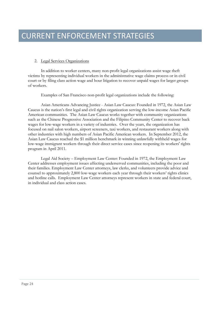#### 2. Legal Services Organizations

In addition to worker centers, many non-profit legal organizations assist wage theft victims by representing individual workers in the administrative wage claims process or in civil court or by filing class action wage and hour litigation to recover unpaid wages for larger groups of workers.

Examples of San Francisco non-profit legal organizations include the following:

Asian Americans Advancing Justice - Asian Law Caucus: Founded in 1972, the Asian Law Caucus is the nation's first legal and civil rights organization serving the low-income Asian Pacific American communities. The Asian Law Caucus works together with community organizations such as the Chinese Progressive Association and the Filipino Community Center to recover back wages for low-wage workers in a variety of industries. Over the years, the organization has focused on nail salon workers, airport screeners, taxi workers, and restaurant workers along with other industries with high numbers of Asian Pacific American workers. In September 2012, the Asian Law Caucus reached the \$1 million benchmark in winning unlawfully withheld wages for low-wage immigrant workers through their direct service cases since reopening its workers' rights program in April 2011.

Legal Aid Society – Employment Law Center: Founded in 1972, the Employment Law Center addresses employment issues affecting underserved communities, including the poor and their families. Employment Law Center attorneys, law clerks, and volunteers provide advice and counsel to approximately 2,800 low-wage workers each year through their workers' rights clinics and hotline calls. Employment Law Center attorneys represent workers in state and federal court, in individual and class action cases.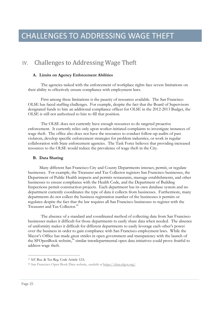### CHALLENGES TO ADDRESSING WAGE THEFT

### IV. Challenges to Addressing Wage Theft

#### **A. Limits on Agency Enforcement Abilities**

The agencies tasked with the enforcement of workplace rights face severe limitations on their ability to effectively ensure compliance with employment laws.

First among these limitations is the paucity of resources available. The San Francisco OLSE has faced staffing challenges. For example, despite the fact that the Board of Supervisors designated funds to hire an additional compliance officer for OLSE in the 2012-2013 Budget, the OLSE is still not authorized to hire to fill that position.

The OLSE does not currently have enough resources to do targeted proactive enforcement. It currently relies only upon worker-initiated complaints to investigate instances of wage theft. The office also does not have the resources to conduct follow-up audits of past violators, develop specific enforcement strategies for problem industries, or work in regular collaboration with State enforcement agencies. The Task Force believes that providing increased resources to the OLSE would reduce the prevalence of wage theft in the City.

#### **B. Data Sharing**

Many different San Francisco City and County Departments interact, permit, or regulate businesses. For example, the Treasurer and Tax Collector registers San Francisco businesses, the Department of Public Health inspects and permits restaurants, massage establishments, and other businesses to ensure compliance with the Health Code, and the Department of Building Inspections permit construction projects. Each department has its own database system and no department currently coordinates the type of data it collects from businesses. Furthermore, many departments do not collect the business registration number of the businesses it permits or regulates despite the fact that the law requires all San Francisco businesses to register with the Treasurer and Tax Collector.<sup>45</sup>

The absence of a standard and coordinated method of collecting data from San Francisco businesses makes it difficult for those departments to easily share data when needed. The absence of uniformity makes it difficult for different departments to easily leverage each other's power over the business in order to gain compliance with San Francisco employment laws. While the Mayor's Office has made great strides in open government and transparency with the launch of the SFOpenBook website,<sup>46</sup> similar interdepartmental open data initiatives could prove fruitful to address wage theft.

<sup>45</sup> S.F. Bus. & Tax Reg. Code Article 12A.

<sup>46</sup> San Francisco Open Book Data website, *available at* https://data.sfgov.org/.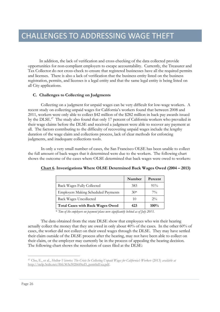In addition, the lack of verification and cross-checking of the data collected provide opportunities for non-compliant employers to escape accountability. Currently, the Treasurer and Tax Collector do not cross-check to ensure that registered businesses have all the required permits and licenses. There is also a lack of verification that the business entity listed on the business registration, permits, and licenses is a legal entity and that the same legal entity is being listed on all City applications.

#### **C. Challenges to Collecting on Judgments**

Collecting on a judgment for unpaid wages can be very difficult for low-wage workers. A recent study on collecting unpaid wages for California's workers found that between 2008 and 2011, workers were only able to collect \$42 million of the \$282 million in back pay awards issued by the DLSE.<sup>47</sup> The study also found that only 17 percent of California workers who prevailed in their wage claims before the DLSE and received a judgment were able to recover any payment at all. The factors contributing to the difficulty of recovering unpaid wages include the lengthy duration of the wage claim and collections process, lack of clear methods for enforcing judgments, and inadequate collections tools.

In only a very small number of cases, the San Francisco OLSE has been unable to collect the full amount of back wages that it determined were due to the workers. The following chart shows the outcome of the cases where OLSE determined that back wages were owed to workers:

|                                            | Number | Percent |
|--------------------------------------------|--------|---------|
| Back Wages Fully Collected                 | 383    | $91\%$  |
| <b>Employers Making Scheduled Payments</b> | $30*$  | $7\%$   |
| <b>Back Wages Uncollected</b>              | 10     | $2\%$   |
| <b>Total Cases with Back Wages Owed</b>    | 423    | $100\%$ |

#### **Chart 6. Investigations Where OLSE Determined Back Wages Owed (2004 – 2013)**

\* *Two of the employers on payment plans were significantly behind as of July 2013.*

The data obtained from the state DLSE show that employees who win their hearing actually collect the money that they are owed in only about 40% of the cases. In the other 60% of cases, the worker did not collect on their owed wages through the DLSE. They may have settled their claim outside of the DLSE process after the hearing, may not have been able to collect on their claim, or the employer may currently be in the process of appealing the hearing decision. The following chart shows the resolution of cases filed at the DLSE:

<sup>47</sup> Cho, E., et al., *Hollow Victories: The Crisis In Collecting Unpaid Wages for California's Workers* (2013) *available at* http://nelp.3cdn.net/f6fc363a30266f0cd3\_pzm6id1xa.pdf.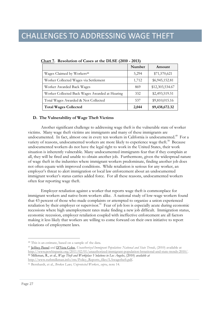|                                                | Number | Amount          |
|------------------------------------------------|--------|-----------------|
| Wages Claimed by Workers <sup>48</sup>         | 5,294  | \$71,570,621    |
| Worker Collected Wages via Settlement          | 1,712  | \$6,945,152.81  |
| Worker Awarded Back Wages                      | 869    | \$12,303,534.67 |
| Worker Collected Back Wages Awarded at Hearing | 332    | \$2,493,519.51  |
| Total Wages Awarded & Not Collected            | 537    | \$9,810,015.16  |
| <b>Total Wages Collected</b>                   | 2.044  | \$9,438,672.32  |

**Chart 7. Resolution of Cases at the DLSE (2010 - 2013)**

#### **D. The Vulnerability of Wage Theft Victims**

Another significant challenge to addressing wage theft is the vulnerable state of worker victims. Many wage theft victims are immigrants and many of these immigrants are undocumented. In fact, almost one in every ten workers in California is undocumented.<sup>49</sup> For a variety of reasons, undocumented workers are more likely to experience wage theft.<sup>50</sup> Because undocumented workers do not have the legal right to work in the United States, their work situation is inherently vulnerable. Many undocumented immigrants fear that if they complain at all, they will be fired and unable to obtain another job. Furthermore, given the widespread nature of wage theft in the industries where immigrant workers predominate, finding another job does not often equate with improved conditions. While retaliation is serious for any worker, an employer's threat to alert immigration or local law enforcement about an undocumented immigrant worker's status carries added force. For all these reasons, undocumented workers often fear reporting wage theft.

Employer retaliation against a worker that reports wage theft is commonplace for immigrant workers and native-born workers alike. A national study of low-wage workers found that 43 percent of those who made complaints or attempted to organize a union experienced retaliation by their employer or supervisor.<sup>51</sup> Fear of job loss is especially acute during economic recessions where high unemployment rates make finding a new job difficult. Immigration status, economic recession, employer retaliation coupled with ineffective enforcement are all factors making it less likely that workers are willing to come forward on their own initiative to report violations of employment laws.

<sup>48</sup> This is an estimate, based on a sample of the data.

<sup>49</sup> Jeffrey Passel and D'Vera Cohn, *Unauthorized Immigrant Population: National and State Trends*, (2010) available at http://www.pewhispanic.org/2011/02/01/unauthorized-immigrant-population-brnational-and-state-trends-2010/. <sup>50</sup> Milkman, R., et al., *Wage Theft and Workplace Violations in Los Angeles*, (2010) *available at*

http://www.ruthmilkman.info/rm/Policy\_Reports\_files/LAwagetheft.pdf.

<sup>51</sup> Bernhardt, et al., *Broken Laws, Unprotected Workers*, *supra*, note 14.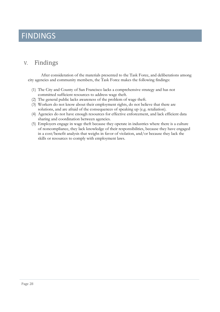### FINDINGS

### V. Findings

After consideration of the materials presented to the Task Force, and deliberations among city agencies and community members, the Task Force makes the following findings:

- (1) The City and County of San Francisco lacks a comprehensive strategy and has not committed sufficient resources to address wage theft.
- (2) The general public lacks awareness of the problem of wage theft.
- (3) Workers do not know about their employment rights, do not believe that there are solutions, and are afraid of the consequences of speaking up (e.g. retaliation).
- (4) Agencies do not have enough resources for effective enforcement, and lack efficient data sharing and coordination between agencies.
- (5) Employers engage in wage theft because they operate in industries where there is a culture of noncompliance, they lack knowledge of their responsibilities, because they have engaged in a cost/benefit analysis that weighs in favor of violation, and/or because they lack the skills or resources to comply with employment laws.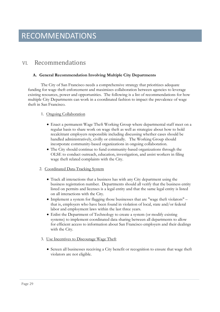### VI. Recommendations

#### **A. General Recommendation Involving Multiple City Departments**

The City of San Francisco needs a comprehensive strategy that prioritizes adequate funding for wage theft enforcement and maximizes collaboration between agencies to leverage existing resources, power and opportunities. The following is a list of recommendations for how multiple City Departments can work in a coordinated fashion to impact the prevalence of wage theft in San Francisco.

#### 1. Ongoing Collaboration

- Enact a permanent Wage Theft Working Group where departmental staff meet on a regular basis to share work on wage theft as well as strategize about how to hold recalcitrant employers responsible including discussing whether cases should be handled administratively, civilly or criminally. The Working Group should incorporate community-based organizations in ongoing collaboration.
- The City should continue to fund community-based organizations through the OLSE to conduct outreach, education, investigation, and assist workers in filing wage theft related complaints with the City.

#### 2. Coordinated Data-Tracking System

- Track all interactions that a business has with any City department using the business registration number. Departments should all verify that the business entity listed on permits and licenses is a legal entity and that the same legal entity is listed on all interactions with the City.
- Implement a system for flagging those businesses that are "wage theft violators" that is, employers who have been found in violation of local, state and/or federal labor and employment laws within the last three years.
- Enlist the Department of Technology to create a system (or modify existing systems) to implement coordinated data sharing between all departments to allow for efficient access to information about San Francisco employers and their dealings with the City.
- 3. Use Incentives to Discourage Wage Theft
	- Screen all businesses receiving a City benefit or recognition to ensure that wage theft violators are not eligible.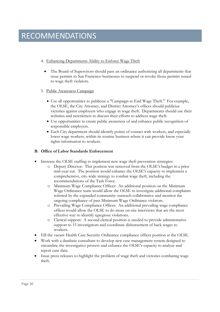#### 4. Enhancing Departments Ability to Enforce Wage Theft

 The Board of Supervisors should pass an ordinance authorizing all departments that issue permits to San Francisco businesses to suspend or revoke those permits issued to wage theft violators.

#### 5. Public Awareness Campaign

- Use all opportunities to publicize a "Campaign to End Wage Theft." For example, the OLSE, the City Attorney, and District Attorney's offices should publicize victories against employers who engage in wage theft. Departments should use their websites and newsletters to discuss their efforts to address wage theft.
- Use opportunities to create public awareness of and enhance public recognition of responsible employers.
- Each City department should identify points of contact with workers, and especially lower wage workers, within its routine business where it can provide know your rights information to workers.

#### **B. Office of Labor Standards Enforcement**

- Increase the OLSE staffing to implement new wage theft prevention strategies:
	- o Deputy Director: This position was removed from the OLSE's budget in a prior mid-year cut. The position would enhance the OLSE's capacity to implement a comprehensive, city-wide strategy to combat wage theft, including the recommendations of the Task Force.
	- o Minimum Wage Compliance Officer: An additional position on the Minimum Wage Ordinance team would allow the OLSE to investigate additional complaints referred by the expanded community outreach collaborative and monitor the ongoing compliance of past Minimum Wage Ordinance violators.
	- o Prevailing Wage Compliance Officer: An additional prevailing wage compliance officer would allow the OLSE to do more on-site interviews that are the most effective way to identify egregious violations.
	- o Clerical support: A second clerical position is needed to provide administrative support to 15 investigators and coordinate disbursement of back wages to workers.
- Fill the vacant Health Care Security Ordinance compliance officer position at the OLSE.
- Work with a database consultant to develop new case management system designed to streamline the investigative process and enhance the OLSE's capacity to analyze and report case data.
- Issue press releases to highlight the problem of wage theft and victories combating wage theft.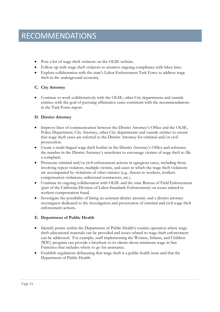- Post a list of wage theft violators on the OLSE website.
- Follow-up with wage theft violators to monitor ongoing compliance with labor laws.
- Explore collaboration with the state's Labor Enforcement Task Force to address wage theft in the underground economy.

#### **C. City Attorney**

 Continue to work collaboratively with the OLSE, other City departments and outside entities, with the goal of pursuing affirmative cases consistent with the recommendations in the Task Force report.

#### **D. District Attorney**

- Improve lines of communication between the District Attorney's Office and the OLSE, Police Department, City Attorney, other City departments and outside entities to ensure that wage theft cases are referred to the District Attorney for criminal and/or civil prosecution.
- Create a multi-lingual wage theft hotline in the District Attorney's Office and reference the number in the District Attorney's newsletter to encourage victims of wage theft to file a complaint.
- Prosecute criminal and/or civil enforcement actions in egregious cases, including those involving repeat violators, multiple victims, and cases in which the wage theft violations are accompanied by violations of other statutes (e.g., threats to workers, workers compensation violations, unlicensed contractors, etc.).
- Continue its ongoing collaboration with OLSE and the state Bureau of Field Enforcement (part of the California Division of Labor Standards Enforcement) on issues related to workers compensation fraud.
- Investigate the possibility of hiring an assistant district attorney and a district attorney investigator dedicated to the investigation and prosecution of criminal and civil wage theft enforcement actions.

#### **E. Department of Public Health**

- Identify points within the Department of Public Health's routine operation where wage theft educational materials can be provided and issues related to wage theft enforcement can be addressed. For example, staff implementing the Women, Infants, and Children (WIC) program can provide a brochure to its clients about minimum wage in San Francisco that includes where to go for assistance.
- Establish regulations delineating that wage theft is a public health issue and that the Department of Public Health: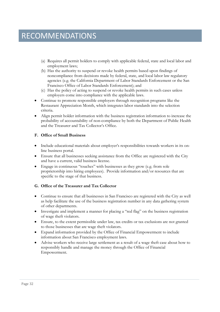### RECOMMENDATIONS

- (a) Requires all permit holders to comply with applicable federal, state and local labor and employment laws;
- (b) Has the authority to suspend or revoke health permits based upon findings of noncompliance from decisions made by federal, state, and local labor law regulatory agencies (e.g. the California Department of Labor Standards Enforcement or the San Francisco Office of Labor Standards Enforcement); and
- (c) Has the policy of acting to suspend or revoke health permits in such cases unless employers come into compliance with the applicable laws.
- Continue to promote responsible employers through recognition programs like the Restaurant Appreciation Month, which integrates labor standards into the selection criteria.
- Align permit holder information with the business registration information to increase the probability of accountability of non-compliance by both the Department of Public Health and the Treasurer and Tax Collector's Office.

#### **F. Office of Small Business**

- Include educational materials about employer's responsibilities towards workers in its online business portal.
- Ensure that all businesses seeking assistance from the Office are registered with the City and have a current, valid business license.
- Engage in continuous "touches" with businesses as they grow (e.g. from sole proprietorship into hiring employees). Provide information and/or resources that are specific to the stage of that business.

#### **G. Office of the Treasurer and Tax Collector**

- Continue to ensure that all businesses in San Francisco are registered with the City as well as help facilitate the use of the business registration number in any data gathering system of other departments.
- Investigate and implement a manner for placing a "red flag" on the business registration of wage theft violators.
- Ensure, to the extent permissible under law, tax credits or tax exclusions are not granted to those businesses that are wage theft violators.
- Expand information provided by the Office of Financial Empowerment to include information about San Francisco employment laws.
- Advise workers who receive large settlement as a result of a wage theft case about how to responsibly handle and manage the money through the Office of Financial Empowerment.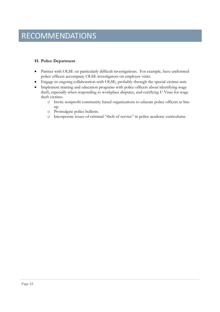### **RECOMMENDATIONS**

#### **H. Police Department**

- Partner with OLSE on particularly difficult investigations. For example, have uniformed police officers accompany OLSE investigators on employer visits.
- Engage in ongoing collaboration with OLSE, probably through the special victims unit.
- Implement training and education programs with police officers about identifying wage theft, especially when responding to workplace disputes, and certifying U Visas for wage theft victims:
	- o Invite nonprofit community based organizations to educate police officers at lineup.
	- o Promulgate police bulletin.
	- o Incorporate issues of criminal "theft of service" in police academy curriculums.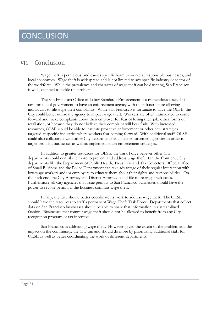### **CONCLUSION**

### VII. Conclusion

Wage theft is pernicious, and causes specific harm to workers, responsible businesses, and local economies. Wage theft is widespread and is not limited to any specific industry or sector of the workforce. While the prevalence and character of wage theft can be daunting, San Francisco is well equipped to tackle the problem.

The San Francisco Office of Labor Standards Enforcement is a tremendous asset. It is rare for a local government to have an enforcement agency with the infrastructure allowing individuals to file wage theft complaints. While San Francisco is fortunate to have the OLSE, the City could better utilize the agency to impact wage theft. Workers are often intimidated to come forward and make complaints about their employer for fear of losing their job, other forms of retaliation, or because they do not believe their complaint will bear fruit. With increased resources, OLSE would be able to institute proactive enforcement or other new strategies targeted at specific industries where workers fear coming forward. With additional staff, OLSE could also collaborate with other City departments and state enforcement agencies in order to target problem businesses as well as implement smart enforcement strategies.

In addition to greater resources for OLSE, the Task Force believes other City departments could contribute more to prevent and address wage theft. On the front end, City departments like the Department of Public Health, Treasurers and Tax Collectors Office, Office of Small Business and the Police Department can take advantage of their regular interaction with low-wage workers and/or employers to educate them about their rights and responsibilities. On the back end, the City Attorney and District Attorney could file more wage theft cases. Furthermore, all City agencies that issue permits to San Francisco businesses should have the power to revoke permits if the business commits wage theft.

Finally, the City should better coordinate its work to address wage theft. The OLSE should have the resources to staff a permanent Wage Theft Task Force. Departments that collect data on San Francisco businesses should be able to share that information in a streamlined fashion. Businesses that commit wage theft should not be allowed to benefit from any City recognition program or tax incentive.

San Francisco is addressing wage theft. However, given the extent of the problem and the impact on the community, the City can and should do more by prioritizing additional staff for OLSE as well as better coordinating the work of different departments.